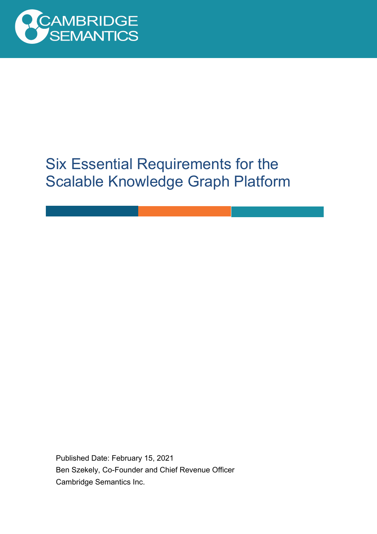

# Six Essential Requirements for the Scalable Knowledge Graph Platform

Published Date: February 15, 2021 Ben Szekely, Co-Founder and Chief Revenue Officer Cambridge Semantics Inc.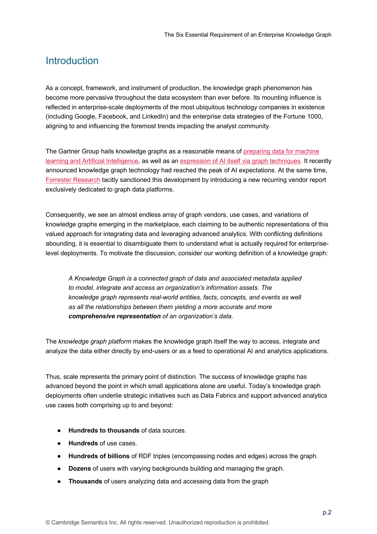#### Introduction

As a concept, framework, and instrument of production, the knowledge graph phenomenon has become more pervasive throughout the data ecosystem than ever before. Its mounting influence is reflected in enterprise-scale deployments of the most ubiquitous technology companies in existence (including Google, Facebook, and LinkedIn) and the enterprise data strategies of the Fortune 1000, aligning to and influencing the foremost trends impacting the analyst community.

The Gartner Group hails knowledge graphs as a reasonable means of preparing data for machine learning and Artificial Intelligence, as well as an expression of AI itself via graph techniques. It recently announced knowledge graph technology had reached the peak of AI expectations. At the same time, Forrester Research tacitly sanctioned this development by introducing a new recurring vendor report exclusively dedicated to graph data platforms.

Consequently, we see an almost endless array of graph vendors, use cases, and variations of knowledge graphs emerging in the marketplace, each claiming to be authentic representations of this valued approach for integrating data and leveraging advanced analytics. With conflicting definitions abounding, it is essential to disambiguate them to understand what is actually required for enterpriselevel deployments. To motivate the discussion, consider our working definition of a knowledge graph:

*A Knowledge Graph is a connected graph of data and associated metadata applied to model, integrate and access an organization's information assets. The knowledge graph represents real-world entities, facts, concepts, and events as well as all the relationships between them yielding a more accurate and more comprehensive representation of an organization's data.*

The *knowledge graph platform* makes the knowledge graph itself the way to access, integrate and analyze the data either directly by end-users or as a feed to operational AI and analytics applications.

Thus, scale represents the primary point of distinction. The success of knowledge graphs has advanced beyond the point in which small applications alone are useful. Today's knowledge graph deployments often underlie strategic initiatives such as Data Fabrics and support advanced analytics use cases both comprising up to and beyond:

- **Hundreds to thousands** of data sources.
- **Hundreds** of use cases.
- **Hundreds of billions** of RDF triples (encompassing nodes and edges) across the graph.
- **Dozens** of users with varying backgrounds building and managing the graph.
- **Thousands** of users analyzing data and accessing data from the graph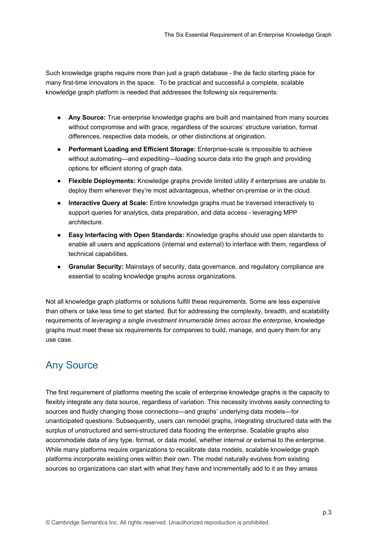Such knowledge graphs require more than just a graph database - the de facto starting place for many first-time innovators in the space. To be practical and successful a complete, scalable knowledge graph platform is needed that addresses the following six requirements:

- **Any Source:** True enterprise knowledge graphs are built and maintained from many sources without compromise and with grace, regardless of the sources' structure variation, format differences, respective data models, or other distinctions at origination.
- **Performant Loading and Efficient Storage:** Enterprise-scale is impossible to achieve without automating—and expediting—loading source data into the graph and providing options for efficient storing of graph data.
- **Flexible Deployments:** Knowledge graphs provide limited utility if enterprises are unable to deploy them wherever they're most advantageous, whether on-premise or in the cloud.
- **Interactive Query at Scale:** Entire knowledge graphs must be traversed interactively to support queries for analytics, data preparation, and data access - leveraging MPP architecture.
- **Easy Interfacing with Open Standards:** Knowledge graphs should use open standards to enable all users and applications (internal and external) to interface with them, regardless of technical capabilities.
- **Granular Security:** Mainstays of security, data governance, and regulatory compliance are essential to scaling knowledge graphs across organizations.

Not all knowledge graph platforms or solutions fulfill these requirements. Some are less expensive than others or take less time to get started. But for addressing the complexity, breadth, and scalability requirements of *leveraging a single investment innumerable times across the enterprise*, knowledge graphs must meet these six requirements for companies to build, manage, and query them for any use case.

## Any Source

The first requirement of platforms meeting the scale of enterprise knowledge graphs is the capacity to flexibly integrate any data source, regardless of variation. This necessity involves easily connecting to sources and fluidly changing those connections—and graphs' underlying data models—for unanticipated questions. Subsequently, users can remodel graphs, integrating structured data with the surplus of unstructured and semi-structured data flooding the enterprise. Scalable graphs also accommodate data of any type, format, or data model, whether internal or external to the enterprise. While many platforms require organizations to recalibrate data models, scalable knowledge graph platforms incorporate existing ones within their own. The model naturally evolves from existing sources so organizations can start with what they have and incrementally add to it as they amass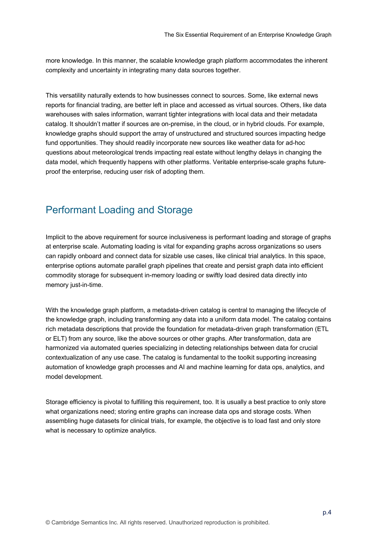more knowledge. In this manner, the scalable knowledge graph platform accommodates the inherent complexity and uncertainty in integrating many data sources together.

This versatility naturally extends to how businesses connect to sources. Some, like external news reports for financial trading, are better left in place and accessed as virtual sources. Others, like data warehouses with sales information, warrant tighter integrations with local data and their metadata catalog. It shouldn't matter if sources are on-premise, in the cloud, or in hybrid clouds. For example, knowledge graphs should support the array of unstructured and structured sources impacting hedge fund opportunities. They should readily incorporate new sources like weather data for ad-hoc questions about meteorological trends impacting real estate without lengthy delays in changing the data model, which frequently happens with other platforms. Veritable enterprise-scale graphs futureproof the enterprise, reducing user risk of adopting them.

#### Performant Loading and Storage

Implicit to the above requirement for source inclusiveness is performant loading and storage of graphs at enterprise scale. Automating loading is vital for expanding graphs across organizations so users can rapidly onboard and connect data for sizable use cases, like clinical trial analytics. In this space, enterprise options automate parallel graph pipelines that create and persist graph data into efficient commodity storage for subsequent in-memory loading or swiftly load desired data directly into memory just-in-time.

With the knowledge graph platform, a metadata-driven catalog is central to managing the lifecycle of the knowledge graph, including transforming any data into a uniform data model. The catalog contains rich metadata descriptions that provide the foundation for metadata-driven graph transformation (ETL or ELT) from any source, like the above sources or other graphs. After transformation, data are harmonized via automated queries specializing in detecting relationships between data for crucial contextualization of any use case. The catalog is fundamental to the toolkit supporting increasing automation of knowledge graph processes and AI and machine learning for data ops, analytics, and model development.

Storage efficiency is pivotal to fulfilling this requirement, too. It is usually a best practice to only store what organizations need; storing entire graphs can increase data ops and storage costs. When assembling huge datasets for clinical trials, for example, the objective is to load fast and only store what is necessary to optimize analytics.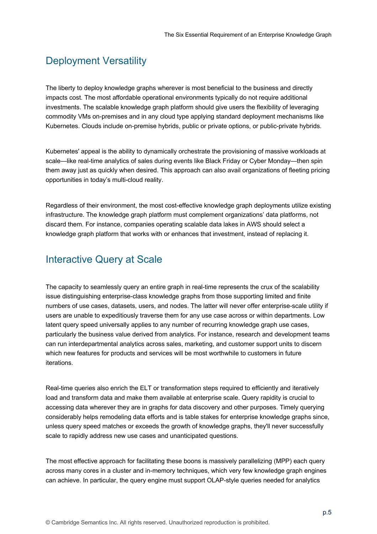## Deployment Versatility

The liberty to deploy knowledge graphs wherever is most beneficial to the business and directly impacts cost. The most affordable operational environments typically do not require additional investments. The scalable knowledge graph platform should give users the flexibility of leveraging commodity VMs on-premises and in any cloud type applying standard deployment mechanisms like Kubernetes. Clouds include on-premise hybrids, public or private options, or public-private hybrids.

Kubernetes' appeal is the ability to dynamically orchestrate the provisioning of massive workloads at scale—like real-time analytics of sales during events like Black Friday or Cyber Monday—then spin them away just as quickly when desired. This approach can also avail organizations of fleeting pricing opportunities in today's multi-cloud reality.

Regardless of their environment, the most cost-effective knowledge graph deployments utilize existing infrastructure. The knowledge graph platform must complement organizations' data platforms, not discard them. For instance, companies operating scalable data lakes in AWS should select a knowledge graph platform that works with or enhances that investment, instead of replacing it.

## Interactive Query at Scale

The capacity to seamlessly query an entire graph in real-time represents the crux of the scalability issue distinguishing enterprise-class knowledge graphs from those supporting limited and finite numbers of use cases, datasets, users, and nodes. The latter will never offer enterprise-scale utility if users are unable to expeditiously traverse them for any use case across or within departments. Low latent query speed universally applies to any number of recurring knowledge graph use cases, particularly the business value derived from analytics. For instance, research and development teams can run interdepartmental analytics across sales, marketing, and customer support units to discern which new features for products and services will be most worthwhile to customers in future iterations.

Real-time queries also enrich the ELT or transformation steps required to efficiently and iteratively load and transform data and make them available at enterprise scale. Query rapidity is crucial to accessing data wherever they are in graphs for data discovery and other purposes. Timely querying considerably helps remodeling data efforts and is table stakes for enterprise knowledge graphs since, unless query speed matches or exceeds the growth of knowledge graphs, they'll never successfully scale to rapidly address new use cases and unanticipated questions.

The most effective approach for facilitating these boons is massively parallelizing (MPP) each query across many cores in a cluster and in-memory techniques, which very few knowledge graph engines can achieve. In particular, the query engine must support OLAP-style queries needed for analytics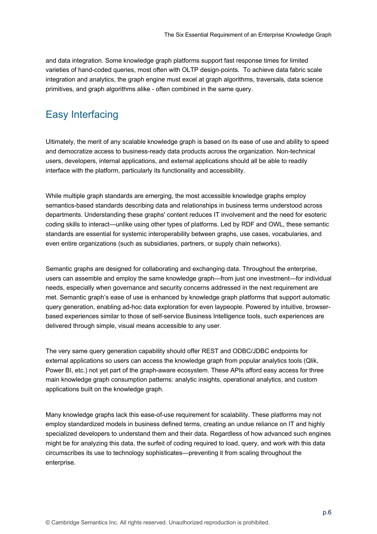and data integration. Some knowledge graph platforms support fast response times for limited varieties of hand-coded queries, most often with OLTP design-points. To achieve data fabric scale integration and analytics, the graph engine must excel at graph algorithms, traversals, data science primitives, and graph algorithms alike - often combined in the same query.

## Easy Interfacing

Ultimately, the merit of any scalable knowledge graph is based on its ease of use and ability to speed and democratize access to business-ready data products across the organization. Non-technical users, developers, internal applications, and external applications should all be able to readily interface with the platform, particularly its functionality and accessibility.

While multiple graph standards are emerging, the most accessible knowledge graphs employ semantics-based standards describing data and relationships in business terms understood across departments. Understanding these graphs' content reduces IT involvement and the need for esoteric coding skills to interact—unlike using other types of platforms. Led by RDF and OWL, these semantic standards are essential for systemic interoperability between graphs, use cases, vocabularies, and even entire organizations (such as subsidiaries, partners, or supply chain networks).

Semantic graphs are designed for collaborating and exchanging data. Throughout the enterprise, users can assemble and employ the same knowledge graph—from just one investment—for individual needs, especially when governance and security concerns addressed in the next requirement are met. Semantic graph's ease of use is enhanced by knowledge graph platforms that support automatic query generation, enabling ad-hoc data exploration for even laypeople. Powered by intuitive, browserbased experiences similar to those of self-service Business Intelligence tools, such experiences are delivered through simple, visual means accessible to any user.

The very same query generation capability should offer REST and ODBC/JDBC endpoints for external applications so users can access the knowledge graph from popular analytics tools (Qlik, Power BI, etc.) not yet part of the graph-aware ecosystem. These APIs afford easy access for three main knowledge graph consumption patterns: analytic insights, operational analytics, and custom applications built on the knowledge graph.

Many knowledge graphs lack this ease-of-use requirement for scalability. These platforms may not employ standardized models in business defined terms, creating an undue reliance on IT and highly specialized developers to understand them and their data. Regardless of how advanced such engines might be for analyzing this data, the surfeit of coding required to load, query, and work with this data circumscribes its use to technology sophisticates—preventing it from scaling throughout the enterprise.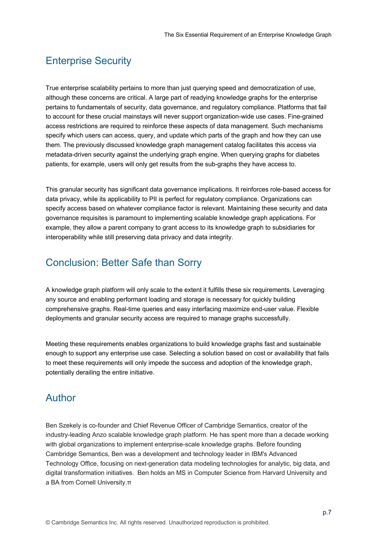#### Enterprise Security

True enterprise scalability pertains to more than just querying speed and democratization of use, although these concerns are critical. A large part of readying knowledge graphs for the enterprise pertains to fundamentals of security, data governance, and regulatory compliance. Platforms that fail to account for these crucial mainstays will never support organization-wide use cases. Fine-grained access restrictions are required to reinforce these aspects of data management. Such mechanisms specify which users can access, query, and update which parts of the graph and how they can use them. The previously discussed knowledge graph management catalog facilitates this access via metadata-driven security against the underlying graph engine. When querying graphs for diabetes patients, for example, users will only get results from the sub-graphs they have access to.

This granular security has significant data governance implications. It reinforces role-based access for data privacy, while its applicability to PII is perfect for regulatory compliance. Organizations can specify access based on whatever compliance factor is relevant. Maintaining these security and data governance requisites is paramount to implementing scalable knowledge graph applications. For example, they allow a parent company to grant access to its knowledge graph to subsidiaries for interoperability while still preserving data privacy and data integrity.

#### Conclusion: Better Safe than Sorry

A knowledge graph platform will only scale to the extent it fulfills these six requirements. Leveraging any source and enabling performant loading and storage is necessary for quickly building comprehensive graphs. Real-time queries and easy interfacing maximize end-user value. Flexible deployments and granular security access are required to manage graphs successfully.

Meeting these requirements enables organizations to build knowledge graphs fast and sustainable enough to support any enterprise use case. Selecting a solution based on cost or availability that fails to meet these requirements will only impede the success and adoption of the knowledge graph, potentially derailing the entire initiative.

#### Author

Ben Szekely is co-founder and Chief Revenue Officer of Cambridge Semantics, creator of the industry-leading Anzo scalable knowledge graph platform. He has spent more than a decade working with global organizations to implement enterprise-scale knowledge graphs. Before founding Cambridge Semantics, Ben was a development and technology leader in IBM's Advanced Technology Office, focusing on next-generation data modeling technologies for analytic, big data, and digital transformation initiatives. Ben holds an MS in Computer Science from Harvard University and a BA from Cornell University.π